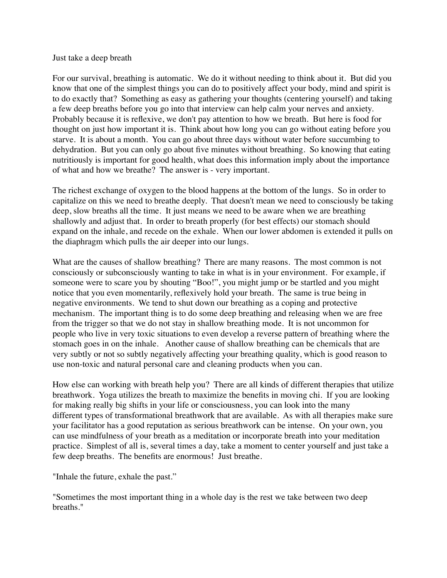## Just take a deep breath

For our survival, breathing is automatic. We do it without needing to think about it. But did you know that one of the simplest things you can do to positively affect your body, mind and spirit is to do exactly that? Something as easy as gathering your thoughts (centering yourself) and taking a few deep breaths before you go into that interview can help calm your nerves and anxiety. Probably because it is reflexive, we don't pay attention to how we breath. But here is food for thought on just how important it is. Think about how long you can go without eating before you starve. It is about a month. You can go about three days without water before succumbing to dehydration. But you can only go about five minutes without breathing. So knowing that eating nutritiously is important for good health, what does this information imply about the importance of what and how we breathe? The answer is - very important.

The richest exchange of oxygen to the blood happens at the bottom of the lungs. So in order to capitalize on this we need to breathe deeply. That doesn't mean we need to consciously be taking deep, slow breaths all the time. It just means we need to be aware when we are breathing shallowly and adjust that. In order to breath properly (for best effects) our stomach should expand on the inhale, and recede on the exhale. When our lower abdomen is extended it pulls on the diaphragm which pulls the air deeper into our lungs.

What are the causes of shallow breathing? There are many reasons. The most common is not consciously or subconsciously wanting to take in what is in your environment. For example, if someone were to scare you by shouting "Boo!", you might jump or be startled and you might notice that you even momentarily, reflexively hold your breath. The same is true being in negative environments. We tend to shut down our breathing as a coping and protective mechanism. The important thing is to do some deep breathing and releasing when we are free from the trigger so that we do not stay in shallow breathing mode. It is not uncommon for people who live in very toxic situations to even develop a reverse pattern of breathing where the stomach goes in on the inhale. Another cause of shallow breathing can be chemicals that are very subtly or not so subtly negatively affecting your breathing quality, which is good reason to use non-toxic and natural personal care and cleaning products when you can.

How else can working with breath help you? There are all kinds of different therapies that utilize breathwork. Yoga utilizes the breath to maximize the benefits in moving chi. If you are looking for making really big shifts in your life or consciousness, you can look into the many different types of transformational breathwork that are available. As with all therapies make sure your facilitator has a good reputation as serious breathwork can be intense. On your own, you can use mindfulness of your breath as a meditation or incorporate breath into your meditation practice. Simplest of all is, several times a day, take a moment to center yourself and just take a few deep breaths. The benefits are enormous! Just breathe.

"Inhale the future, exhale the past."

"Sometimes the most important thing in a whole day is the rest we take between two deep breaths."